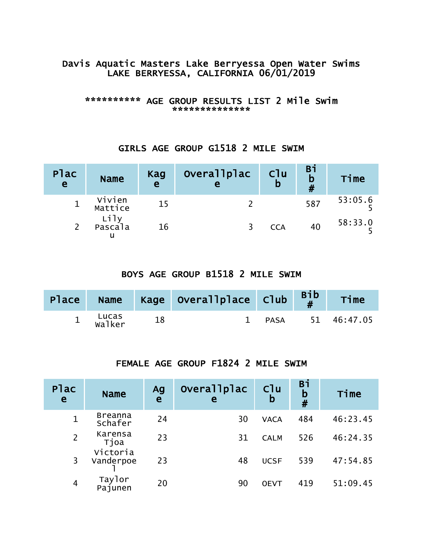## Davis Aquatic Masters Lake Berryessa Open Water Swims LAKE BERRYESSA, CALIFORNIA 06/01/2019

#### \*\*\*\*\*\*\*\*\*\* AGE GROUP RESULTS LIST 2 Mile Swim \*\*\*\*\*\*\*\*\*\*\*\*\*\*

## GIRLS AGE GROUP G1518 2 MILE SWIM

| Plac<br>$\mathbf{e}$ | <b>Name</b>       | Kag<br>$\mathbf{e}$ | overallplac | C1u<br>$\mathbf b$ | Bi<br>$\mathsf b$<br># | Time    |
|----------------------|-------------------|---------------------|-------------|--------------------|------------------------|---------|
|                      | Vivien<br>Mattice | 15                  |             |                    | 587                    | 53:05.6 |
|                      | Lily<br>Pascala   | 16                  |             | <b>CCA</b>         | 40                     | 58:33.0 |

## BOYS AGE GROUP B1518 2 MILE SWIM

| Place |                 |    | Name Kage Overallplace Club |             | $\begin{array}{c} \text{Bib} \\ \text{H} \end{array}$ | Time        |
|-------|-----------------|----|-----------------------------|-------------|-------------------------------------------------------|-------------|
|       | Lucas<br>Walker | 18 |                             | <b>PASA</b> |                                                       | 51 46:47.05 |

## FEMALE AGE GROUP F1824 2 MILE SWIM

| Plac<br>e      | <b>Name</b>               | Ag<br>e | Overallplac<br>е | C1u<br>b    | Bi<br>$\mathbf b$<br># | Time     |
|----------------|---------------------------|---------|------------------|-------------|------------------------|----------|
| $\mathbf 1$    | <b>Breanna</b><br>Schafer | 24      | 30               | <b>VACA</b> | 484                    | 46:23.45 |
| $\overline{2}$ | Karensa<br>Tjoa           | 23      | 31               | <b>CALM</b> | 526                    | 46:24.35 |
| 3              | Victoria<br>Vanderpoe     | 23      | 48               | <b>UCSF</b> | 539                    | 47:54.85 |
| $\overline{4}$ | Taylor<br>Pajunen         | 20      | 90               | <b>OEVT</b> | 419                    | 51:09.45 |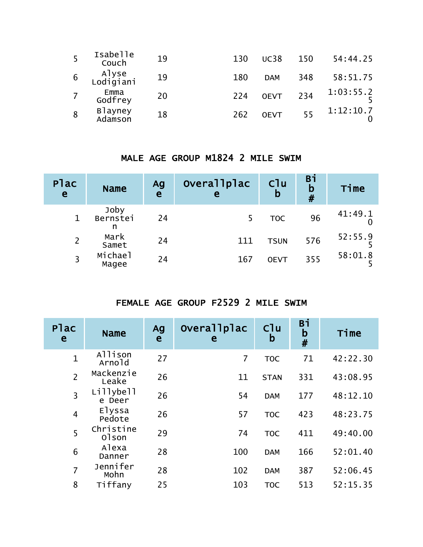| 5              | Isabelle<br>Couch  | 19 | 130 | <b>UC38</b> | 150 | 54:44.25  |
|----------------|--------------------|----|-----|-------------|-----|-----------|
| 6              | Alyse<br>Lodigiani | 19 | 180 | <b>DAM</b>  | 348 | 58:51.75  |
| $\overline{7}$ | Emma<br>Godfrey    | 20 | 224 | <b>OEVT</b> | 234 | 1:03:55.2 |
| 8              | Blayney<br>Adamson | 18 | 262 | <b>OEVT</b> | 55  | 1:12:10.7 |

### MALE AGE GROUP M1824 2 MILE SWIM

| <b>Plac</b><br>e | <b>Name</b>           | Ag<br>e | Overallplac<br>e | C1u<br>b    | Bi<br>$\mathbf b$<br># | Time    |
|------------------|-----------------------|---------|------------------|-------------|------------------------|---------|
|                  | Joby<br>Bernstei<br>n | 24      | 5                | <b>TOC</b>  | 96                     | 41:49.1 |
| $\overline{2}$   | Mark<br>Samet         | 24      | 111              | <b>TSUN</b> | 576                    | 52:55.9 |
| 3                | Michael<br>Magee      | 24      | 167              | <b>OEVT</b> | 355                    | 58:01.8 |

### FEMALE AGE GROUP F2529 2 MILE SWIM

| Plac<br>e      | <b>Name</b>         | Ag<br>e | Overallplac<br>е | C <sub>1</sub> u<br>b | Bi<br>$\mathsf b$<br># | Time     |
|----------------|---------------------|---------|------------------|-----------------------|------------------------|----------|
| $\mathbf{1}$   | Allison<br>Arnold   | 27      | 7                | <b>TOC</b>            | 71                     | 42:22.30 |
| $\overline{2}$ | Mackenzie<br>Leake  | 26      | 11               | <b>STAN</b>           | 331                    | 43:08.95 |
| $\overline{3}$ | Lillybell<br>e Deer | 26      | 54               | <b>DAM</b>            | 177                    | 48:12.10 |
| $\overline{4}$ | Elyssa<br>Pedote    | 26      | 57               | <b>TOC</b>            | 423                    | 48:23.75 |
| 5              | Christine<br>01son  | 29      | 74               | <b>TOC</b>            | 411                    | 49:40.00 |
| 6              | Alexa<br>Danner     | 28      | 100              | <b>DAM</b>            | 166                    | 52:01.40 |
| $\overline{7}$ | Jennifer<br>Mohn    | 28      | 102              | <b>DAM</b>            | 387                    | 52:06.45 |
| 8              | Tiffany             | 25      | 103              | <b>TOC</b>            | 513                    | 52:15.35 |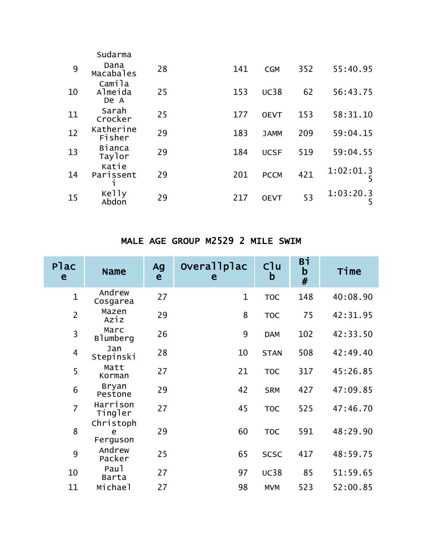|    | Sudarma                   |    |     |             |     |                |
|----|---------------------------|----|-----|-------------|-----|----------------|
| 9  | Dana<br>Macabales         | 28 | 141 | <b>CGM</b>  | 352 | 55:40.95       |
| 10 | Camila<br>Almeida<br>De A | 25 | 153 | <b>UC38</b> | 62  | 56:43.75       |
| 11 | Sarah<br>Crocker          | 25 | 177 | <b>OEVT</b> | 153 | 58:31.10       |
| 12 | Katherine<br>Fisher       | 29 | 183 | <b>JAMM</b> | 209 | 59:04.15       |
| 13 | <b>Bianca</b><br>Taylor   | 29 | 184 | <b>UCSF</b> | 519 | 59:04.55       |
| 14 | Katie<br>Parissent        | 29 | 201 | <b>PCCM</b> | 421 | 1:02:01.3<br>5 |
| 15 | Kelly<br>Abdon            | 29 | 217 | <b>OEVT</b> | 53  | 1:03:20.3<br>5 |

## MALE AGE GROUP M2529 2 MILE SWIM

| Plac<br>e      | <b>Name</b>                | Ag<br>e | Overallplac<br>e | Cl <sub>u</sub><br>b | Вi<br>b<br># | Time     |
|----------------|----------------------------|---------|------------------|----------------------|--------------|----------|
| $\mathbf{1}$   | Andrew<br>Cosgarea         | 27      | $\mathbf{1}$     | <b>TOC</b>           | 148          | 40:08.90 |
| $\overline{2}$ | Mazen<br>Aziz              | 29      | 8                | <b>TOC</b>           | 75           | 42:31.95 |
| 3              | Marc<br><b>Blumberg</b>    | 26      | 9                | <b>DAM</b>           | 102          | 42:33.50 |
| 4              | Jan<br>Stepinski           | 28      | 10               | <b>STAN</b>          | 508          | 42:49.40 |
| 5              | Matt<br>Korman             | 27      | 21               | <b>TOC</b>           | 317          | 45:26.85 |
| 6              | Bryan<br>Pestone           | 29      | 42               | <b>SRM</b>           | 427          | 47:09.85 |
| $\overline{7}$ | Harrison<br>Tingler        | 27      | 45               | <b>TOC</b>           | 525          | 47:46.70 |
| 8              | Christoph<br>e<br>Ferguson | 29      | 60               | <b>TOC</b>           | 591          | 48:29.90 |
| 9              | Andrew<br>Packer           | 25      | 65               | <b>SCSC</b>          | 417          | 48:59.75 |
| 10             | Pau1<br>Barta              | 27      | 97               | <b>UC38</b>          | 85           | 51:59.65 |
| 11             | Michael                    | 27      | 98               | <b>MVM</b>           | 523          | 52:00.85 |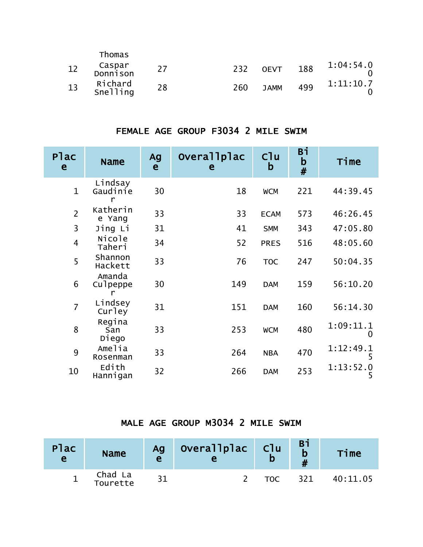|    | Thomas                     |    |     |             |     |           |
|----|----------------------------|----|-----|-------------|-----|-----------|
| 12 | Caspar<br>Donnison         |    | 232 | <b>OEVT</b> | 188 | 1:04:54.0 |
| 13 | Richard<br><b>Snelling</b> | 28 | 260 | <b>JAMM</b> | 499 | 1:11:10.7 |

#### FEMALE AGE GROUP F3034 2 MILE SWIM

| Plac<br>e      | <b>Name</b>              | Ag<br>e | Overallplac<br>e | Cl <sub>u</sub><br>$\mathsf b$ | Вi<br>$\mathbf b$<br># | Time                        |
|----------------|--------------------------|---------|------------------|--------------------------------|------------------------|-----------------------------|
| $\mathbf{1}$   | Lindsay<br>Gaudinie<br>r | 30      | 18               | <b>WCM</b>                     | 221                    | 44:39.45                    |
| $\overline{2}$ | Katherin<br>e Yang       | 33      | 33               | <b>ECAM</b>                    | 573                    | 46:26.45                    |
| 3              | Jing Li                  | 31      | 41               | <b>SMM</b>                     | 343                    | 47:05.80                    |
| $\overline{4}$ | Nicole<br>Taheri         | 34      | 52               | <b>PRES</b>                    | 516                    | 48:05.60                    |
| 5              | Shannon<br>Hackett       | 33      | 76               | <b>TOC</b>                     | 247                    | 50:04.35                    |
| 6              | Amanda<br>Culpeppe       | 30      | 149              | <b>DAM</b>                     | 159                    | 56:10.20                    |
| $\overline{7}$ | Lindsey<br>Curley        | 31      | 151              | <b>DAM</b>                     | 160                    | 56:14.30                    |
| 8              | Regina<br>San<br>Diego   | 33      | 253              | <b>WCM</b>                     | 480                    | 1:09:11.1<br>$\overline{0}$ |
| 9              | Amelia<br>Rosenman       | 33      | 264              | <b>NBA</b>                     | 470                    | 1:12:49.1<br>5              |
| 10             | Edith<br>Hannigan        | 32      | 266              | <b>DAM</b>                     | 253                    | 1:13:52.0<br>5              |

### MALE AGE GROUP M3034 2 MILE SWIM

| <b>Plac</b><br>$\mathbf{e}$ | <b>Name</b>         | Ag<br>$\mathbf{e}$ | Overallplac Clu |            | Bi<br>b | <b>Time</b> |
|-----------------------------|---------------------|--------------------|-----------------|------------|---------|-------------|
|                             | Chad La<br>Tourette | 31                 |                 | <b>TOC</b> | 321     | 40:11.05    |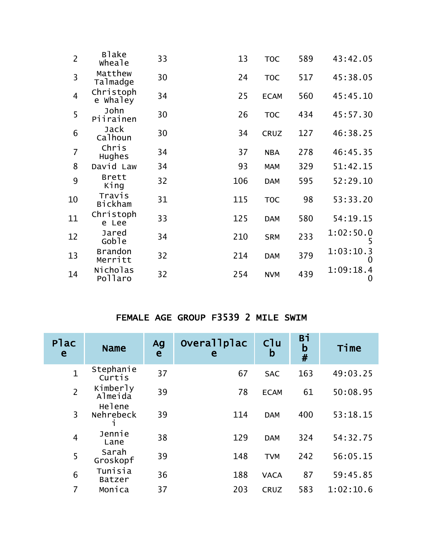| $\overline{2}$ | <b>Blake</b><br>wheale    | 33 | 13  | <b>TOC</b>  | 589 | 43:42.05                      |
|----------------|---------------------------|----|-----|-------------|-----|-------------------------------|
| 3              | Matthew<br>Talmadge       | 30 | 24  | <b>TOC</b>  | 517 | 45:38.05                      |
| $\overline{4}$ | Christoph<br>e Whaley     | 34 | 25  | <b>ECAM</b> | 560 | 45:45.10                      |
| 5              | John<br>Piirainen         | 30 | 26  | <b>TOC</b>  | 434 | 45:57.30                      |
| 6              | Jack<br>Calhoun           | 30 | 34  | <b>CRUZ</b> | 127 | 46:38.25                      |
| $\overline{7}$ | Chris<br>Hughes           | 34 | 37  | <b>NBA</b>  | 278 | 46:45.35                      |
| 8              | David Law                 | 34 | 93  | <b>MAM</b>  | 329 | 51:42.15                      |
| 9              | <b>Brett</b><br>King      | 32 | 106 | <b>DAM</b>  | 595 | 52:29.10                      |
| 10             | Travis<br><b>Bickham</b>  | 31 | 115 | <b>TOC</b>  | 98  | 53:33.20                      |
| 11             | Christoph<br>e Lee        | 33 | 125 | <b>DAM</b>  | 580 | 54:19.15                      |
| 12             | Jared<br>Goble            | 34 | 210 | <b>SRM</b>  | 233 | 1:02:50.0<br>5                |
| 13             | <b>Brandon</b><br>Merritt | 32 | 214 | <b>DAM</b>  | 379 | 1:03:10.3<br>0                |
| 14             | Nicholas<br>Pollaro       | 32 | 254 | <b>NVM</b>  | 439 | 1:09:18.4<br>$\boldsymbol{0}$ |
|                |                           |    |     |             |     |                               |

## FEMALE AGE GROUP F3539 2 MILE SWIM

| Plac<br>e      | <b>Name</b>              | Ag<br>e | Overallplac<br>е | C <sub>1</sub> u<br>b | Bi<br>$\mathbf b$<br># | Time      |
|----------------|--------------------------|---------|------------------|-----------------------|------------------------|-----------|
| $\mathbf{1}$   | Stephanie<br>Curtis      | 37      | 67               | <b>SAC</b>            | 163                    | 49:03.25  |
| $\overline{2}$ | Kimberly<br>Almeida      | 39      | 78               | <b>ECAM</b>           | 61                     | 50:08.95  |
| $\overline{3}$ | Helene<br>Nehrebeck      | 39      | 114              | <b>DAM</b>            | 400                    | 53:18.15  |
| $\overline{4}$ | Jennie<br>Lane           | 38      | 129              | <b>DAM</b>            | 324                    | 54:32.75  |
| 5              | Sarah<br>Groskopf        | 39      | 148              | <b>TVM</b>            | 242                    | 56:05.15  |
| 6              | Tunisia<br><b>Batzer</b> | 36      | 188              | <b>VACA</b>           | 87                     | 59:45.85  |
| 7              | Monica                   | 37      | 203              | <b>CRUZ</b>           | 583                    | 1:02:10.6 |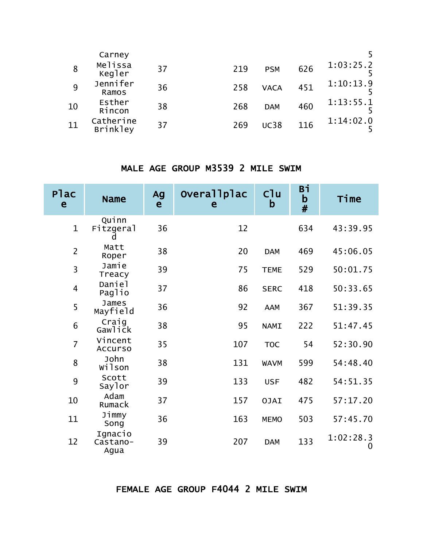|    | Carney                       |    |     |             |     |           |
|----|------------------------------|----|-----|-------------|-----|-----------|
| 8  | Melissa<br>Kegler            | 37 | 219 | <b>PSM</b>  | 626 | 1:03:25.2 |
| 9  | Jennifer<br>Ramos            | 36 | 258 | <b>VACA</b> | 451 | 1:10:13.9 |
| 10 | Esther<br>Rincon             | 38 | 268 | <b>DAM</b>  | 460 | 1:13:55.1 |
| 11 | Catherine<br><b>Brinkley</b> | 37 | 269 | <b>UC38</b> | 116 | 1:14:02.0 |

#### MALE AGE GROUP M3539 2 MILE SWIM

| Plac<br>e      | <b>Name</b>                 | Ag<br>e | Overallplac<br>e | C1u<br>b    | Bi<br>$\mathbf b$<br># | Time                        |
|----------------|-----------------------------|---------|------------------|-------------|------------------------|-----------------------------|
| $\mathbf{1}$   | Quinn<br>Fitzgeral          | 36      | 12               |             | 634                    | 43:39.95                    |
| $\overline{2}$ | Matt<br>Roper               | 38      | 20               | <b>DAM</b>  | 469                    | 45:06.05                    |
| 3              | Jamie<br>Treacy             | 39      | 75               | <b>TEME</b> | 529                    | 50:01.75                    |
| $\overline{4}$ | Daniel<br>Paglio            | 37      | 86               | <b>SERC</b> | 418                    | 50:33.65                    |
| 5              | James<br>Mayfield           | 36      | 92               | <b>AAM</b>  | 367                    | 51:39.35                    |
| 6              | Craig<br>Gawlick            | 38      | 95               | <b>NAMI</b> | 222                    | 51:47.45                    |
| $\overline{7}$ | Vincent<br>Accurso          | 35      | 107              | <b>TOC</b>  | 54                     | 52:30.90                    |
| 8              | John<br>wilson              | 38      | 131              | <b>WAVM</b> | 599                    | 54:48.40                    |
| 9              | Scott<br>Saylor             | 39      | 133              | <b>USF</b>  | 482                    | 54:51.35                    |
| 10             | Adam<br>Rumack              | 37      | 157              | <b>OJAI</b> | 475                    | 57:17.20                    |
| 11             | Jimmy<br>Song               | 36      | 163              | <b>MEMO</b> | 503                    | 57:45.70                    |
| 12             | Ignacio<br>Castano-<br>Agua | 39      | 207              | <b>DAM</b>  | 133                    | 1:02:28.3<br>$\overline{0}$ |

FEMALE AGE GROUP F4044 2 MILE SWIM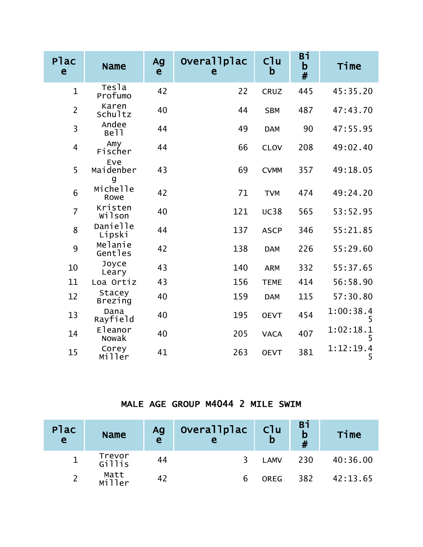| Plac<br>e      | <b>Name</b>               | Ag<br>e | Overallplac<br>e | C1u<br>b    | Bi<br>$\mathbf b$<br># | Time           |
|----------------|---------------------------|---------|------------------|-------------|------------------------|----------------|
| $\mathbf{1}$   | Tesla<br>Profumo          | 42      | 22               | <b>CRUZ</b> | 445                    | 45:35.20       |
| $\overline{2}$ | Karen<br>Schultz          | 40      | 44               | <b>SBM</b>  | 487                    | 47:43.70       |
| 3              | Andee<br>Be <sub>11</sub> | 44      | 49               | <b>DAM</b>  | 90                     | 47:55.95       |
| $\overline{4}$ | Amy<br>Fischer            | 44      | 66               | <b>CLOV</b> | 208                    | 49:02.40       |
| 5              | Eve<br>Maidenber<br>q     | 43      | 69               | <b>CVMM</b> | 357                    | 49:18.05       |
| 6              | Michelle<br>Rowe          | 42      | 71               | <b>TVM</b>  | 474                    | 49:24.20       |
| $\overline{7}$ | Kristen<br>wilson         | 40      | 121              | <b>UC38</b> | 565                    | 53:52.95       |
| 8              | Danielle<br>Lipski        | 44      | 137              | <b>ASCP</b> | 346                    | 55:21.85       |
| 9              | Melanie<br>Gentles        | 42      | 138              | <b>DAM</b>  | 226                    | 55:29.60       |
| 10             | Joyce<br>Leary            | 43      | 140              | <b>ARM</b>  | 332                    | 55:37.65       |
| 11             | Loa Ortiz                 | 43      | 156              | <b>TEME</b> | 414                    | 56:58.90       |
| 12             | Stacey<br><b>Brezing</b>  | 40      | 159              | <b>DAM</b>  | 115                    | 57:30.80       |
| 13             | Dana<br>Rayfield          | 40      | 195              | <b>OEVT</b> | 454                    | 1:00:38.4<br>5 |
| 14             | Eleanor<br>Nowak          | 40      | 205              | <b>VACA</b> | 407                    | 1:02:18.1<br>5 |
| 15             | Corey<br>Miller           | 41      | 263              | <b>OEVT</b> | 381                    | 1:12:19.4<br>5 |

## MALE AGE GROUP M4044 2 MILE SWIM

| Plac<br>$\mathbf{e}$ | <b>Name</b>      | Ag<br>e | Overallplac | <b>C</b> lu<br>$\mathbf b$ | Bi<br>$\mathbf b$<br># | Time     |
|----------------------|------------------|---------|-------------|----------------------------|------------------------|----------|
|                      | Trevor<br>Gillis | 44      | ર           | LAMV                       | 230                    | 40:36.00 |
|                      | Matt<br>Miller   | 42      | 6           | <b>OREG</b>                | 382                    | 42:13.65 |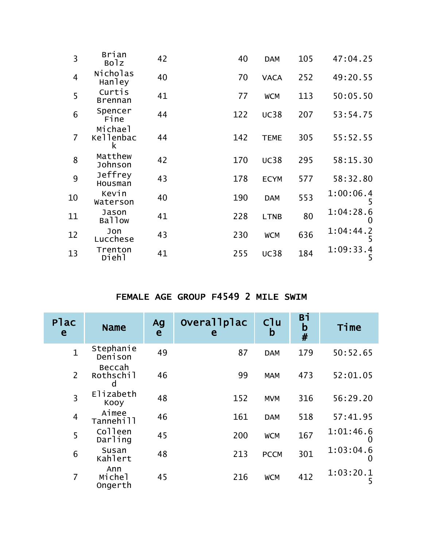| 3              | Brian<br><b>Bolz</b>      | 42 | 40  | <b>DAM</b>  | 105 | 47:04.25       |
|----------------|---------------------------|----|-----|-------------|-----|----------------|
| $\overline{4}$ | Nicholas<br>Hanley        | 40 | 70  | <b>VACA</b> | 252 | 49:20.55       |
| 5              | Curtis<br><b>Brennan</b>  | 41 | 77  | <b>WCM</b>  | 113 | 50:05.50       |
| 6              | Spencer<br>Fine           | 44 | 122 | <b>UC38</b> | 207 | 53:54.75       |
| $\overline{7}$ | Michael<br>Kellenbac<br>k | 44 | 142 | <b>TEME</b> | 305 | 55:52.55       |
| 8              | Matthew<br>Johnson        | 42 | 170 | <b>UC38</b> | 295 | 58:15.30       |
| 9              | Jeffrey<br>Housman        | 43 | 178 | <b>ECYM</b> | 577 | 58:32.80       |
| 10             | Kevin<br>Waterson         | 40 | 190 | <b>DAM</b>  | 553 | 1:00:06.4<br>5 |
| 11             | Jason<br>Ballow           | 41 | 228 | <b>LTNB</b> | 80  | 1:04:28.6<br>O |
| 12             | Jon<br>Lucchese           | 43 | 230 | <b>WCM</b>  | 636 | 1:04:44.2<br>5 |
| 13             | Trenton<br>Diehl          | 41 | 255 | <b>UC38</b> | 184 | 1:09:33.4<br>5 |
|                |                           |    |     |             |     |                |

# FEMALE AGE GROUP F4549 2 MILE SWIM

| Plac<br>e      | <b>Name</b>              | Ag<br>e | Overallplac<br>e | C1u<br>b    | Вi<br>$\mathbf b$<br># | Time           |
|----------------|--------------------------|---------|------------------|-------------|------------------------|----------------|
| $\mathbf 1$    | Stephanie<br>Denison     | 49      | 87               | <b>DAM</b>  | 179                    | 50:52.65       |
| $\overline{2}$ | Beccah<br>Rothschil<br>d | 46      | 99               | <b>MAM</b>  | 473                    | 52:01.05       |
| 3              | Elizabeth<br>Kooy        | 48      | 152              | <b>MVM</b>  | 316                    | 56:29.20       |
| $\overline{4}$ | Aimee<br>Tannehill       | 46      | 161              | <b>DAM</b>  | 518                    | 57:41.95       |
| 5              | Colleen<br>Darling       | 45      | 200              | <b>WCM</b>  | 167                    | 1:01:46.6      |
| 6              | Susan<br>Kahlert         | 48      | 213              | <b>PCCM</b> | 301                    | 1:03:04.6<br>U |
| $\overline{7}$ | Ann<br>Michel<br>Ongerth | 45      | 216              | <b>WCM</b>  | 412                    | 1:03:20.1<br>5 |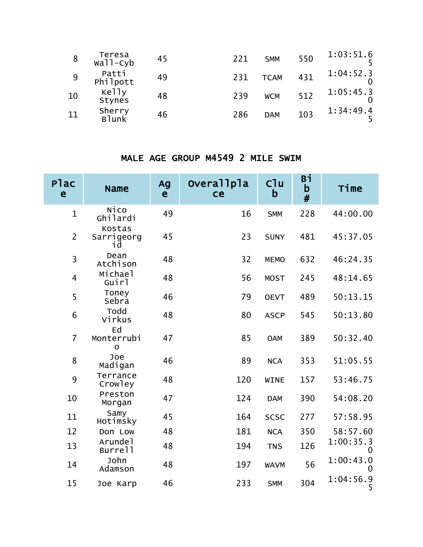| 8  | Teresa<br>wall-Cyb | 45 | 221 | <b>SMM</b>  | 550 | 1:03:51.6 |
|----|--------------------|----|-----|-------------|-----|-----------|
| 9  | Patti<br>Philpott  | 49 | 231 | <b>TCAM</b> | 431 | 1:04:52.3 |
| 10 | Kelly<br>Stynes    | 48 | 239 | <b>WCM</b>  | 512 | 1:05:45.3 |
| 11 | Sherry<br>Blunk    | 46 | 286 | <b>DAM</b>  | 103 | 1:34:49.4 |

#### MALE AGE GROUP M4549 2 MILE SWIM

| Plac<br>e               | <b>Name</b>                     | Ag<br>e | <b>Overallpla</b><br>ce | C1u<br>$\mathbf b$ | Bi<br>$\mathbf b$<br># | Time           |
|-------------------------|---------------------------------|---------|-------------------------|--------------------|------------------------|----------------|
| $\mathbf{1}$            | Nico<br>Ghilardi                | 49      | 16                      | <b>SMM</b>         | 228                    | 44:00.00       |
| $\overline{2}$          | Kostas<br>Sarrigeorg<br>า ป     | 45      | 23                      | <b>SUNY</b>        | 481                    | 45:37.05       |
| $\overline{3}$          | Dean<br>Atchison                | 48      | 32                      | <b>MEMO</b>        | 632                    | 46:24.35       |
| $\overline{\mathbf{4}}$ | Michael<br>Guirl                | 48      | 56                      | <b>MOST</b>        | 245                    | 48:14.65       |
| 5                       | Toney<br>Sebra                  | 46      | 79                      | <b>OEVT</b>        | 489                    | 50:13.15       |
| 6                       | Todd<br>Virkus                  | 48      | 80                      | <b>ASCP</b>        | 545                    | 50:13.80       |
| $\overline{7}$          | Ed<br>Monterrubi<br>$\mathbf 0$ | 47      | 85                      | <b>OAM</b>         | 389                    | 50:32.40       |
| 8                       | Joe<br>Madigan                  | 46      | 89                      | <b>NCA</b>         | 353                    | 51:05.55       |
| 9                       | Terrance<br>Crowley             | 48      | 120                     | <b>WINE</b>        | 157                    | 53:46.75       |
| 10                      | Preston<br>Morgan               | 47      | 124                     | <b>DAM</b>         | 390                    | 54:08.20       |
| 11                      | Samy<br>Hotimsky                | 45      | 164                     | <b>SCSC</b>        | 277                    | 57:58.95       |
| 12                      | Don Low                         | 48      | 181                     | <b>NCA</b>         | 350                    | 58:57.60       |
| 13                      | Arunde <sub>1</sub><br>Burrell  | 48      | 194                     | <b>TNS</b>         | 126                    | 1:00:35.3<br>0 |
| 14                      | John<br>Adamson                 | 48      | 197                     | <b>WAVM</b>        | 56                     | 1:00:43.0<br>0 |
| 15                      | Joe Karp                        | 46      | 233                     | <b>SMM</b>         | 304                    | 1:04:56.9<br>5 |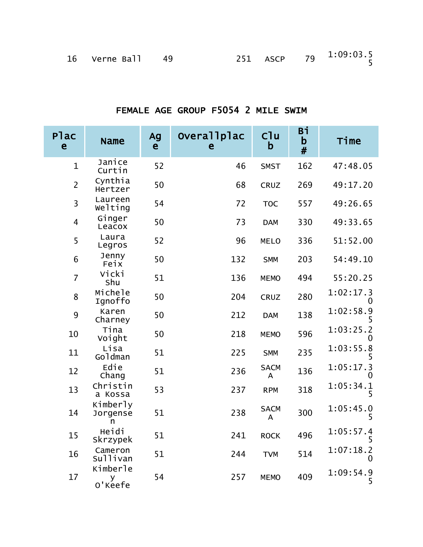|  | 16 Verne Ball 49 |  |  |  |  | 251 ASCP 79 <sup>1:09:03.5</sup> |
|--|------------------|--|--|--|--|----------------------------------|
|--|------------------|--|--|--|--|----------------------------------|

#### FEMALE AGE GROUP F5054 2 MILE SWIM

| Plac<br>e               | <b>Name</b>               | Ag<br>e | Overallplac<br>e | C1u<br>b         | Bi<br>$\mathbf b$<br># | Time                      |
|-------------------------|---------------------------|---------|------------------|------------------|------------------------|---------------------------|
| $\mathbf{1}$            | Janice<br>Curtin          | 52      | 46               | <b>SMST</b>      | 162                    | 47:48.05                  |
| $\overline{2}$          | Cynthia<br>Hertzer        | 50      | 68               | <b>CRUZ</b>      | 269                    | 49:17.20                  |
| 3                       | Laureen<br>Welting        | 54      | 72               | <b>TOC</b>       | 557                    | 49:26.65                  |
| $\overline{\mathbf{4}}$ | Ginger<br>Leacox          | 50      | 73               | <b>DAM</b>       | 330                    | 49:33.65                  |
| 5                       | Laura<br>Legros           | 52      | 96               | <b>MELO</b>      | 336                    | 51:52.00                  |
| 6                       | Jenny<br>Feix             | 50      | 132              | <b>SMM</b>       | 203                    | 54:49.10                  |
| $\overline{7}$          | Vicki<br>Shu              | 51      | 136              | <b>MEMO</b>      | 494                    | 55:20.25                  |
| 8                       | Michele<br>Ignoffo        | 50      | 204              | <b>CRUZ</b>      | 280                    | 1:02:17.3<br>$\mathbf{U}$ |
| 9                       | Karen<br>Charney          | 50      | 212              | <b>DAM</b>       | 138                    | 1:02:58.9<br>5            |
| 10                      | Tina<br>Voight            | 50      | 218              | <b>MEMO</b>      | 596                    | 1:03:25.2<br>0            |
| 11                      | Lisa<br>Goldman           | 51      | 225              | <b>SMM</b>       | 235                    | 1:03:55.8<br>5            |
| 12                      | Edie<br>Chang             | 51      | 236              | <b>SACM</b><br>A | 136                    | 1:05:17.3<br>$\mathbf{0}$ |
| 13                      | Christin<br>a Kossa       | 53      | 237              | <b>RPM</b>       | 318                    | 1:05:34.1<br>5            |
| 14                      | Kimberly<br>Jorgense<br>n | 51      | 238              | <b>SACM</b><br>A | 300                    | 1:05:45.0<br>5            |
| 15                      | Heidi<br>Skrzypek         | 51      | 241              | <b>ROCK</b>      | 496                    | 1:05:57.4<br>5            |
| 16                      | Cameron<br>Sullivan       | 51      | 244              | <b>TVM</b>       | 514                    | 1:07:18.2<br>$\mathbf{0}$ |
| 17                      | Kimberle<br>У<br>0'Keefe  | 54      | 257              | <b>MEMO</b>      | 409                    | 1:09:54.9<br>5            |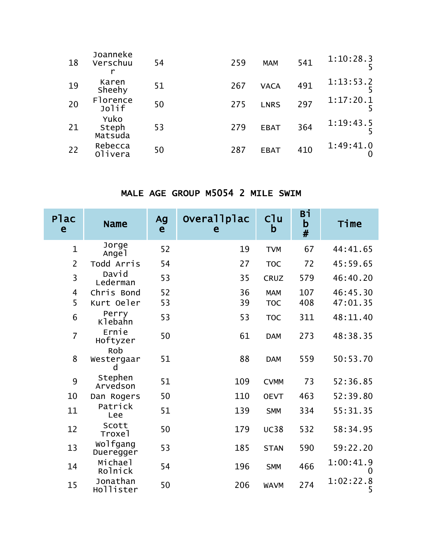| 18 | Joanneke<br>Verschuu<br>r | 54 | 259 | <b>MAM</b>  | 541 | 1:10:28.3 |
|----|---------------------------|----|-----|-------------|-----|-----------|
| 19 | Karen<br>Sheehy           | 51 | 267 | <b>VACA</b> | 491 | 1:13:53.2 |
| 20 | Florence<br>Jolif         | 50 | 275 | <b>LNRS</b> | 297 | 1:17:20.1 |
| 21 | Yuko<br>Steph<br>Matsuda  | 53 | 279 | <b>EBAT</b> | 364 | 1:19:43.5 |
| 22 | Rebecca<br>Olivera        | 50 | 287 | <b>EBAT</b> | 410 | 1:49:41.0 |

#### MALE AGE GROUP M5054 2 MILE SWIM

| Plac<br>e      | <b>Name</b>                 | Ag<br>e | Overallplac<br>e | C <sup>1</sup> u<br>b | Bi<br>$\mathbf b$<br># | Time           |
|----------------|-----------------------------|---------|------------------|-----------------------|------------------------|----------------|
| $\mathbf{1}$   | Jorge<br>Angel              | 52      | 19               | <b>TVM</b>            | 67                     | 44:41.65       |
| $\overline{2}$ | Todd Arris                  | 54      | 27               | <b>TOC</b>            | 72                     | 45:59.65       |
| 3              | David<br>Lederman           | 53      | 35               | <b>CRUZ</b>           | 579                    | 46:40.20       |
| 4              | Chris Bond                  | 52      | 36               | <b>MAM</b>            | 107                    | 46:45.30       |
| 5              | Kurt Oeler                  | 53      | 39               | <b>TOC</b>            | 408                    | 47:01.35       |
| 6              | Perry<br>Klebahn            | 53      | 53               | <b>TOC</b>            | 311                    | 48:11.40       |
| $\overline{7}$ | Ernie<br>Hoftyzer           | 50      | 61               | <b>DAM</b>            | 273                    | 48:38.35       |
| 8              | Rob<br>Westergaar<br>d      | 51      | 88               | <b>DAM</b>            | 559                    | 50:53.70       |
| 9              | Stephen<br>Arvedson         | 51      | 109              | <b>CVMM</b>           | 73                     | 52:36.85       |
| 10             | Dan Rogers                  | 50      | 110              | <b>OEVT</b>           | 463                    | 52:39.80       |
| 11             | Patrick<br>Lee              | 51      | 139              | <b>SMM</b>            | 334                    | 55:31.35       |
| 12             | Scott<br>Troxe <sup>1</sup> | 50      | 179              | <b>UC38</b>           | 532                    | 58:34.95       |
| 13             | wolfgang<br>Dueregger       | 53      | 185              | <b>STAN</b>           | 590                    | 59:22.20       |
| 14             | Michael<br>Rolnick          | 54      | 196              | <b>SMM</b>            | 466                    | 1:00:41.9<br>0 |
| 15             | Jonathan<br>Hollister       | 50      | 206              | <b>WAVM</b>           | 274                    | 1:02:22.8<br>5 |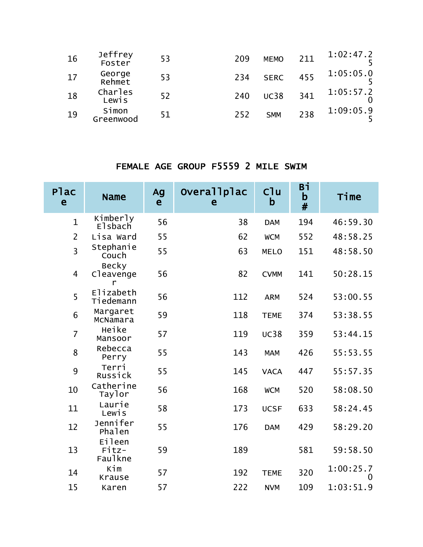| 16 | Jeffrey<br>Foster  | 53 | 209 | <b>MEMO</b> | 211 | 1:02:47.2 |
|----|--------------------|----|-----|-------------|-----|-----------|
| 17 | George<br>Rehmet   | 53 | 234 | <b>SERC</b> | 455 | 1:05:05.0 |
| 18 | Charles<br>Lewis   | 52 | 240 | <b>UC38</b> | 341 | 1:05:57.2 |
| 19 | Simon<br>Greenwood | 51 | 252 | <b>SMM</b>  | 238 | 1:09:05.9 |

### FEMALE AGE GROUP F5559 2 MILE SWIM

| Plac<br>e      | <b>Name</b>                | Ag<br>e | Overallplac<br>e | Cl <sub>u</sub><br>b | Вi<br>b<br># | Time                     |
|----------------|----------------------------|---------|------------------|----------------------|--------------|--------------------------|
| $\mathbf{1}$   | Kimberly<br>Elsbach        | 56      | 38               | <b>DAM</b>           | 194          | 46:59.30                 |
| $\overline{2}$ | Lisa Ward                  | 55      | 62               | <b>WCM</b>           | 552          | 48:58.25                 |
| $\overline{3}$ | Stephanie<br>Couch         | 55      | 63               | <b>MELO</b>          | 151          | 48:58.50                 |
| 4              | Becky<br>Cleavenge<br>r    | 56      | 82               | <b>CVMM</b>          | 141          | 50:28.15                 |
| 5              | Elizabeth<br>Tiedemann     | 56      | 112              | <b>ARM</b>           | 524          | 53:00.55                 |
| 6              | Margaret<br>McNamara       | 59      | 118              | <b>TEME</b>          | 374          | 53:38.55                 |
| $\overline{7}$ | Heike<br>Mansoor           | 57      | 119              | <b>UC38</b>          | 359          | 53:44.15                 |
| 8              | Rebecca<br>Perry           | 55      | 143              | <b>MAM</b>           | 426          | 55:53.55                 |
| 9              | Terri<br>Russick           | 55      | 145              | <b>VACA</b>          | 447          | 55:57.35                 |
| 10             | Catherine<br>Taylor        | 56      | 168              | <b>WCM</b>           | 520          | 58:08.50                 |
| 11             | Laurie<br>Lewis            | 58      | 173              | <b>UCSF</b>          | 633          | 58:24.45                 |
| 12             | Jennifer<br>Phalen         | 55      | 176              | <b>DAM</b>           | 429          | 58:29.20                 |
| 13             | Eileen<br>Fitz-<br>Faulkne | 59      | 189              |                      | 581          | 59:58.50                 |
| 14             | Kim<br>Krause              | 57      | 192              | <b>TEME</b>          | 320          | 1:00:25.7<br>$\mathbf 0$ |
| 15             | Karen                      | 57      | 222              | <b>NVM</b>           | 109          | 1:03:51.9                |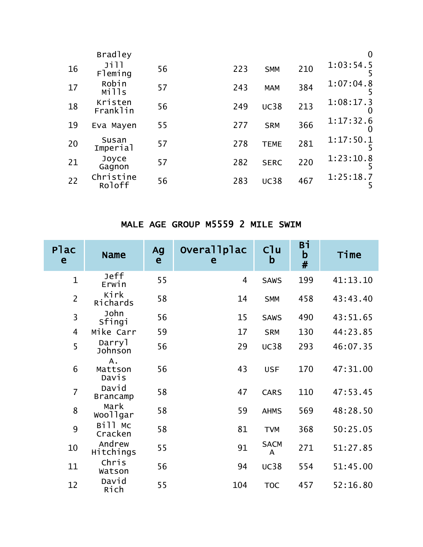|    | <b>Bradley</b>      |    |     |             |     | 0              |
|----|---------------------|----|-----|-------------|-----|----------------|
| 16 | Jill<br>Fleming     | 56 | 223 | <b>SMM</b>  | 210 | 1:03:54.5      |
| 17 | Robin<br>Mills      | 57 | 243 | <b>MAM</b>  | 384 | 1:07:04.8      |
| 18 | Kristen<br>Franklin | 56 | 249 | <b>UC38</b> | 213 | 1:08:17.3<br>O |
| 19 | Eva Mayen           | 55 | 277 | <b>SRM</b>  | 366 | 1:17:32.6<br>O |
| 20 | Susan<br>Imperial   | 57 | 278 | TEME        | 281 | 1:17:50.1      |
| 21 | Joyce<br>Gagnon     | 57 | 282 | <b>SERC</b> | 220 | 1:23:10.8<br>5 |
| 22 | Christine<br>Roloff | 56 | 283 | <b>UC38</b> | 467 | 1:25:18.7      |

### MALE AGE GROUP M5559 2 MILE SWIM

| Plac<br>e      | <b>Name</b>               | Ag<br>e | Overallplac<br>e | C <sup>1</sup> u<br>b | Вi<br>$\mathbf b$<br># | Time     |
|----------------|---------------------------|---------|------------------|-----------------------|------------------------|----------|
| $\mathbf{1}$   | Jeff<br>Erwin             | 55      | 4                | <b>SAWS</b>           | 199                    | 41:13.10 |
| $\overline{2}$ | Kirk<br>Richards          | 58      | 14               | <b>SMM</b>            | 458                    | 43:43.40 |
| 3              | John<br>Sfingi            | 56      | 15               | <b>SAWS</b>           | 490                    | 43:51.65 |
| 4              | Mike Carr                 | 59      | 17               | <b>SRM</b>            | 130                    | 44:23.85 |
| 5              | <b>Darry</b> ]<br>Johnson | 56      | 29               | <b>UC38</b>           | 293                    | 46:07.35 |
| 6              | Α.<br>Mattson<br>Davis    | 56      | 43               | <b>USF</b>            | 170                    | 47:31.00 |
| $\overline{7}$ | David<br><b>Brancamp</b>  | 58      | 47               | <b>CARS</b>           | 110                    | 47:53.45 |
| 8              | Mark<br>woollgar          | 58      | 59               | <b>AHMS</b>           | 569                    | 48:28.50 |
| 9              | Bill Mc<br>Cracken        | 58      | 81               | <b>TVM</b>            | 368                    | 50:25.05 |
| 10             | Andrew<br>Hitchings       | 55      | 91               | <b>SACM</b><br>A      | 271                    | 51:27.85 |
| 11             | Chris<br>Watson           | 56      | 94               | <b>UC38</b>           | 554                    | 51:45.00 |
| 12             | David<br>Rich             | 55      | 104              | <b>TOC</b>            | 457                    | 52:16.80 |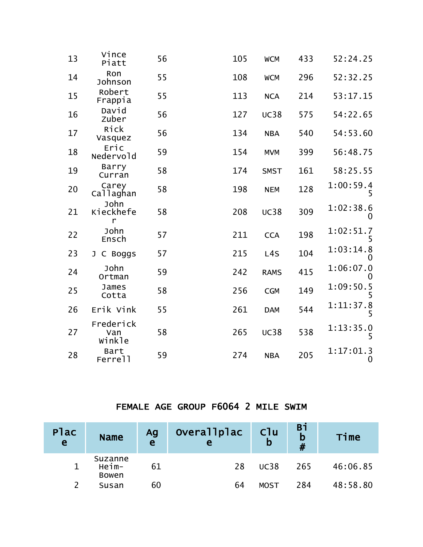| 13 | Vince<br>Piatt                    | 56 | 105 | <b>WCM</b>  | 433 | 52:24.25                 |
|----|-----------------------------------|----|-----|-------------|-----|--------------------------|
| 14 | Ron<br>Johnson                    | 55 | 108 | <b>WCM</b>  | 296 | 52:32.25                 |
| 15 | Robert<br>Frappia                 | 55 | 113 | <b>NCA</b>  | 214 | 53:17.15                 |
| 16 | David<br>Zuber                    | 56 | 127 | <b>UC38</b> | 575 | 54:22.65                 |
| 17 | Rick<br>Vasquez                   | 56 | 134 | <b>NBA</b>  | 540 | 54:53.60                 |
| 18 | Eric<br>Nedervold                 | 59 | 154 | <b>MVM</b>  | 399 | 56:48.75                 |
| 19 | Barry<br>Curran                   | 58 | 174 | <b>SMST</b> | 161 | 58:25.55                 |
| 20 | Carey<br>Callaghan                | 58 | 198 | <b>NEM</b>  | 128 | 1:00:59.4<br>5           |
| 21 | John<br>Kieckhefe<br>$\mathsf{r}$ | 58 | 208 | <b>UC38</b> | 309 | 1:02:38.6<br>0           |
| 22 | John<br>Ensch                     | 57 | 211 | <b>CCA</b>  | 198 | 1:02:51.7<br>5.          |
| 23 | C Boggs<br>J                      | 57 | 215 | L4S         | 104 | 1:03:14.8                |
| 24 | John<br>Ortman                    | 59 | 242 | <b>RAMS</b> | 415 | 1:06:07.0<br>0           |
| 25 | James<br>Cotta                    | 58 | 256 | <b>CGM</b>  | 149 | 1:09:50.5<br>5           |
| 26 | Erik Vink                         | 55 | 261 | <b>DAM</b>  | 544 | 1:11:37.8<br>5           |
| 27 | Frederick<br>Van<br>Winkle        | 58 | 265 | <b>UC38</b> | 538 | 1:13:35.0<br>5           |
| 28 | Bart<br>Ferrell                   | 59 | 274 | <b>NBA</b>  | 205 | 1:17:01.3<br>$\mathbf 0$ |

### FEMALE AGE GROUP F6064 2 MILE SWIM

| Plac<br>e <sup>/</sup> | <b>Name</b>                      | Ag<br>e | Overallplac | C <sub>1u</sub><br>b | Bi<br>b<br># | Time     |
|------------------------|----------------------------------|---------|-------------|----------------------|--------------|----------|
|                        | Suzanne<br>Heim-<br><b>Bowen</b> | 61      | 28          | <b>UC38</b>          | 265          | 46:06.85 |
|                        | Susan                            | 60      | 64          | <b>MOST</b>          | 284          | 48:58.80 |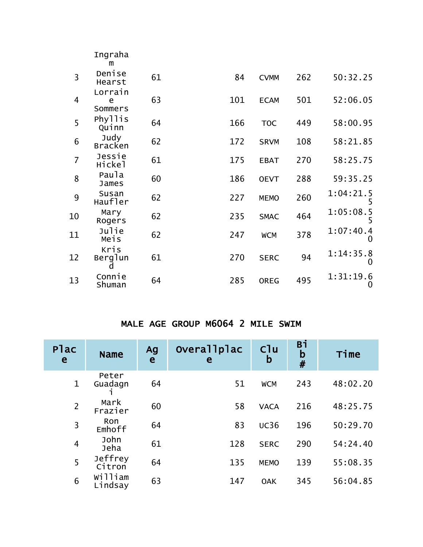|                | Ingraha<br>m            |    |     |             |     |                               |
|----------------|-------------------------|----|-----|-------------|-----|-------------------------------|
| $\overline{3}$ | Denise<br>Hearst        | 61 | 84  | <b>CVMM</b> | 262 | 50:32.25                      |
| $\overline{4}$ | Lorrain<br>e<br>Sommers | 63 | 101 | <b>ECAM</b> | 501 | 52:06.05                      |
| 5              | Phyllis<br>Quinn        | 64 | 166 | <b>TOC</b>  | 449 | 58:00.95                      |
| 6              | Judy<br><b>Bracken</b>  | 62 | 172 | <b>SRVM</b> | 108 | 58:21.85                      |
| $\overline{7}$ | Jessie<br>Hickel        | 61 | 175 | <b>EBAT</b> | 270 | 58:25.75                      |
| 8              | Paula<br>James          | 60 | 186 | <b>OEVT</b> | 288 | 59:35.25                      |
| 9              | Susan<br>Haufler        | 62 | 227 | <b>MEMO</b> | 260 | 1:04:21.5<br>5                |
| 10             | Mary<br>Rogers          | 62 | 235 | <b>SMAC</b> | 464 | 1:05:08.5                     |
| 11             | Julie<br>Meis           | 62 | 247 | <b>WCM</b>  | 378 | 1:07:40.4<br>$\Omega$         |
| 12             | Kris<br>Berglun         | 61 | 270 | <b>SERC</b> | 94  | 1:14:35.8<br>0                |
| 13             | Connie<br>Shuman        | 64 | 285 | <b>OREG</b> | 495 | 1:31:19.6<br>$\boldsymbol{0}$ |

# MALE AGE GROUP M6064 2 MILE SWIM

| Plac<br>e      | <b>Name</b>        | Ag<br>e | Overallplac<br>e | C1u<br>b    | Bi<br>$\frac{b}{\#}$ | Time     |
|----------------|--------------------|---------|------------------|-------------|----------------------|----------|
| $\mathbf{1}$   | Peter<br>Guadagn   | 64      | 51               | <b>WCM</b>  | 243                  | 48:02.20 |
| $\overline{2}$ | Mark<br>Frazier    | 60      | 58               | <b>VACA</b> | 216                  | 48:25.75 |
| 3              | Ron<br>Emhoff      | 64      | 83               | <b>UC36</b> | 196                  | 50:29.70 |
| $\overline{4}$ | John<br>Jeha       | 61      | 128              | <b>SERC</b> | 290                  | 54:24.40 |
| 5              | Jeffrey<br>Citron  | 64      | 135              | <b>MEMO</b> | 139                  | 55:08.35 |
| 6              | William<br>Lindsay | 63      | 147              | <b>OAK</b>  | 345                  | 56:04.85 |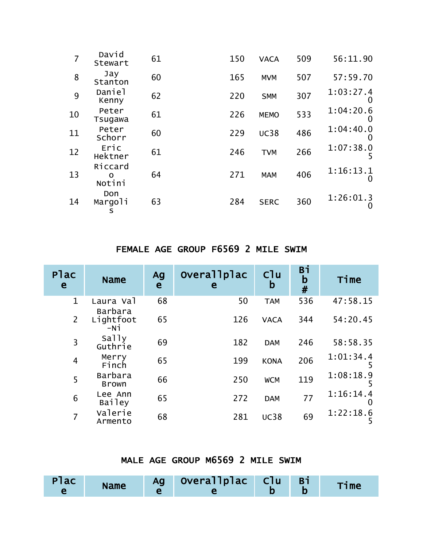|    | David<br>Stewart       | 61 | 150 | <b>VACA</b> | 509 | 56:11.90              |
|----|------------------------|----|-----|-------------|-----|-----------------------|
| 8  | Jay<br>Stanton         | 60 | 165 | <b>MVM</b>  | 507 | 57:59.70              |
| 9  | Daniel<br>Kenny        | 62 | 220 | <b>SMM</b>  | 307 | 1:03:27.4<br>O        |
| 10 | Peter<br>Tsugawa       | 61 | 226 | <b>MEMO</b> | 533 | 1:04:20.6             |
| 11 | Peter<br>Schorr        | 60 | 229 | <b>UC38</b> | 486 | 1:04:40.0<br>O        |
| 12 | Eric<br>Hektner        | 61 | 246 | <b>TVM</b>  | 266 | 1:07:38.0             |
| 13 | Riccard<br>O<br>Notini | 64 | 271 | <b>MAM</b>  | 406 | 1:16:13.1<br>O        |
| 14 | Don<br>Margoli<br>S    | 63 | 284 | <b>SERC</b> | 360 | 1:26:01.3<br>$\Omega$ |

### FEMALE AGE GROUP F6569 2 MILE SWIM

| Plac<br>e      | <b>Name</b>                   | Ag<br>e | Overallplac<br>e | C1u<br>b    | Bi<br>$\mathbf b$<br># | Time                  |
|----------------|-------------------------------|---------|------------------|-------------|------------------------|-----------------------|
| $\mathbf{1}$   | Laura Val                     | 68      | 50               | <b>TAM</b>  | 536                    | 47:58.15              |
| 2              | Barbara<br>Lightfoot<br>$-Ni$ | 65      | 126              | <b>VACA</b> | 344                    | 54:20.45              |
| 3              | Sally<br>Guthrie              | 69      | 182              | <b>DAM</b>  | 246                    | 58:58.35              |
| $\overline{4}$ | Merry<br>Finch                | 65      | 199              | <b>KONA</b> | 206                    | 1:01:34.4             |
| 5              | Barbara<br><b>Brown</b>       | 66      | 250              | <b>WCM</b>  | 119                    | 1:08:18.9             |
| 6              | Lee Ann<br><b>Bailey</b>      | 65      | 272              | <b>DAM</b>  | 77                     | 1:16:14.4<br>$\Omega$ |
| $\overline{7}$ | Valerie<br>Armento            | 68      | 281              | <b>UC38</b> | 69                     | 1:22:18.6<br>5        |

## MALE AGE GROUP M6569 2 MILE SWIM

| Plac | <b>Name</b> | <b>Ag</b> | Overallplac Clu Bi |  |  | $\n  time\n$ |
|------|-------------|-----------|--------------------|--|--|--------------|
|------|-------------|-----------|--------------------|--|--|--------------|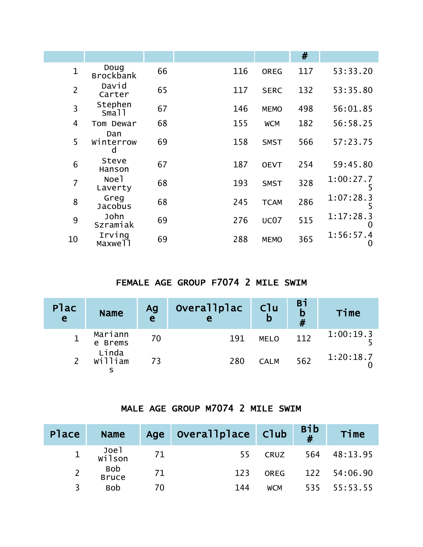|                |                             |    |     |                    | #   |                |
|----------------|-----------------------------|----|-----|--------------------|-----|----------------|
| $\mathbf 1$    | Doug<br><b>Brockbank</b>    | 66 | 116 | <b>OREG</b>        | 117 | 53:33.20       |
| $\overline{2}$ | David<br>Carter             | 65 | 117 | <b>SERC</b>        | 132 | 53:35.80       |
| 3              | Stephen<br>Smal1            | 67 | 146 | <b>MEMO</b>        | 498 | 56:01.85       |
| 4              | Tom Dewar                   | 68 | 155 | <b>WCM</b>         | 182 | 56:58.25       |
| 5              | Dan<br>Winterrow<br>d       | 69 | 158 | <b>SMST</b>        | 566 | 57:23.75       |
| 6              | Steve<br>Hanson             | 67 | 187 | <b>OEVT</b>        | 254 | 59:45.80       |
| $\overline{7}$ | Noe <sub>1</sub><br>Laverty | 68 | 193 | <b>SMST</b>        | 328 | 1:00:27.7<br>5 |
| 8              | Greg<br><b>Jacobus</b>      | 68 | 245 | <b>TCAM</b>        | 286 | 1:07:28.3<br>5 |
| 9              | John<br>Szramiak            | 69 | 276 | UC <sub>07</sub>   | 515 | 1:17:28.3<br>0 |
| 10             | Irving<br>Maxwell           | 69 |     | 288<br><b>MEMO</b> | 365 | 1:56:57.4<br>O |

# FEMALE AGE GROUP F7074 2 MILE SWIM

| <b>Plac</b><br>$\mathbf{e}$ | <b>Name</b>        | $\frac{Ag}{e}$ | Overallplac | C <sup>1</sup> u<br>$\mathbf b$ | Bi<br>$\mathsf b$<br># | Time      |
|-----------------------------|--------------------|----------------|-------------|---------------------------------|------------------------|-----------|
|                             | Mariann<br>e Brems | 70             | 191         | <b>MELO</b>                     | 112                    | 1:00:19.3 |
|                             | Linda<br>William   | 73             | 280         | <b>CALM</b>                     | 562                    | 1:20:18.7 |

# MALE AGE GROUP M7074 2 MILE SWIM

| Place | <b>Name</b>    |    | Age Overallplace Club |             | $\begin{bmatrix} \text{B} & \text{i} & \text{B} \\ \text{B} & \text{B} & \text{B} \end{bmatrix}$ | Time         |
|-------|----------------|----|-----------------------|-------------|--------------------------------------------------------------------------------------------------|--------------|
|       | Joel<br>wilson | 71 |                       | 55 CRUZ     |                                                                                                  | 564 48:13.95 |
|       | Bob<br>Bruce   | 71 | 123                   | <b>OREG</b> |                                                                                                  | 122 54:06.90 |
|       | <b>Bob</b>     | 70 | 144                   | <b>WCM</b>  | 535                                                                                              | 55:53.55     |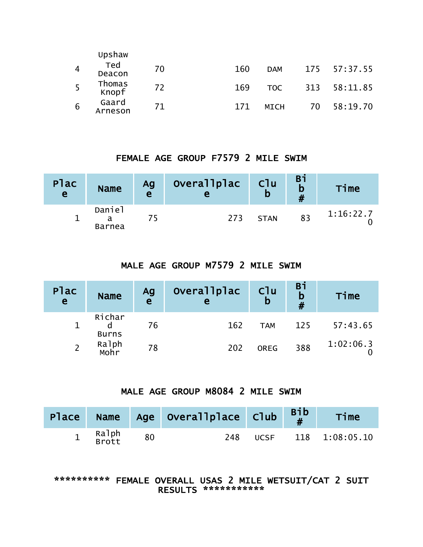|                | Upshaw           |    |     |             |      |              |
|----------------|------------------|----|-----|-------------|------|--------------|
| $\overline{4}$ | Ted<br>Deacon    | 70 | 160 | <b>DAM</b>  |      | 175 57:37.55 |
| 5              | Thomas<br>Knopf  | 72 | 169 | TOC.        |      | 313 58:11.85 |
| 6              | Gaard<br>Arneson | 71 | 171 | <b>MICH</b> | 70 I | 58:19.70     |

### FEMALE AGE GROUP F7579 2 MILE SWIM

| <b>Plac</b><br>e | <b>Name</b>             | Ag<br>$\overline{e}$ | Overallplac | C1u<br>b    | Вi<br>b<br># | Time      |
|------------------|-------------------------|----------------------|-------------|-------------|--------------|-----------|
|                  | Daniel<br><b>Barnea</b> |                      | 273         | <b>STAN</b> | 83           | 1:16:22.7 |

### MALE AGE GROUP M7579 2 MILE SWIM

| <b>Plac</b><br>$\mathbf{e}$ | <b>Name</b>            | Ag<br>e | Overallplac<br>e | C <sub>1</sub> u<br>$\mathbf b$ | Bi<br>$\mathsf b$<br># | Time      |
|-----------------------------|------------------------|---------|------------------|---------------------------------|------------------------|-----------|
|                             | Richar<br><b>Burns</b> | 76      | 162              | <b>TAM</b>                      | 125                    | 57:43.65  |
|                             | Ralph<br>Mohr          | 78      | 202              | <b>OREG</b>                     | 388                    | 1:02:06.3 |

#### MALE AGE GROUP M8084 2 MILE SWIM

| Place |                |    | Name Age overallplace $\text{Club}$ $\begin{matrix} \text{Bib} \\ \text{\#} \end{matrix}$ |             | Time           |
|-------|----------------|----|-------------------------------------------------------------------------------------------|-------------|----------------|
|       | Ralph<br>Brott | 80 | 248.                                                                                      | <b>UCSF</b> | 118 1:08:05.10 |

### \*\*\*\*\*\*\*\*\*\* FEMALE OVERALL USAS 2 MILE WETSUIT/CAT 2 SUIT RESULTS \*\*\*\*\*\*\*\*\*\*\*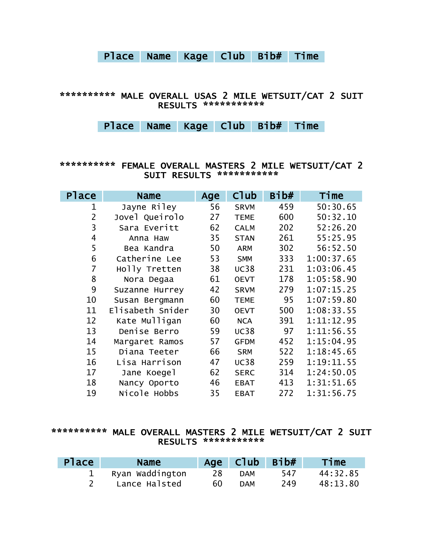# Place Name Kage Club Bib# Time

### \*\*\*\*\*\*\*\*\*\* MALE OVERALL USAS 2 MILE WETSUIT/CAT 2 SUIT RESULTS \*\*\*\*\*\*\*\*\*\*\*

Place Name Kage Club Bib# Time

#### \*\*\*\*\*\*\*\*\*\* FEMALE OVERALL MASTERS 2 MILE WETSUIT/CAT 2 SUIT RESULTS \*\*\*\*\*\*\*\*\*\*\*

| Place | <b>Name</b>      | Age | Club        | Bib# | Time       |
|-------|------------------|-----|-------------|------|------------|
| 1     | Jayne Riley      | 56  | <b>SRVM</b> | 459  | 50:30.65   |
| 2     | Jovel Queirolo   | 27  | <b>TEME</b> | 600  | 50:32.10   |
| 3     | Sara Everitt     | 62  | <b>CALM</b> | 202  | 52:26.20   |
| 4     | Anna Haw         | 35  | <b>STAN</b> | 261  | 55:25.95   |
| 5     | Bea Kandra       | 50  | <b>ARM</b>  | 302  | 56:52.50   |
| 6     | Catherine Lee    | 53  | <b>SMM</b>  | 333  | 1:00:37.65 |
| 7     | Holly Tretten    | 38  | <b>UC38</b> | 231  | 1:03:06.45 |
| 8     | Nora Degaa       | 61  | <b>OEVT</b> | 178  | 1:05:58.90 |
| 9     | Suzanne Hurrey   | 42  | <b>SRVM</b> | 279  | 1:07:15.25 |
| 10    | Susan Bergmann   | 60  | <b>TEME</b> | 95   | 1:07:59.80 |
| 11    | Elisabeth Snider | 30  | <b>OEVT</b> | 500  | 1:08:33.55 |
| 12    | Kate Mulligan    | 60  | <b>NCA</b>  | 391  | 1:11:12.95 |
| 13    | Denise Berro     | 59  | <b>UC38</b> | 97   | 1:11:56.55 |
| 14    | Margaret Ramos   | 57  | <b>GFDM</b> | 452  | 1:15:04.95 |
| 15    | Diana Teeter     | 66  | <b>SRM</b>  | 522  | 1:18:45.65 |
| 16    | Lisa Harrison    | 47  | <b>UC38</b> | 259  | 1:19:11.55 |
| 17    | Jane Koegel      | 62  | <b>SERC</b> | 314  | 1:24:50.05 |
| 18    | Nancy Oporto     | 46  | <b>EBAT</b> | 413  | 1:31:51.65 |
| 19    | Nicole Hobbs     | 35  | <b>EBAT</b> | 272  | 1:31:56.75 |

#### \*\*\*\*\*\*\*\*\*\* MALE OVERALL MASTERS 2 MILE WETSUIT/CAT 2 SUIT RESULTS \*\*\*\*\*\*\*\*\*\*\*

| <b>Place</b> | <b>Name</b>     |    | Age Club Bib# |     | Time     |
|--------------|-----------------|----|---------------|-----|----------|
|              | Ryan Waddington | 28 | <b>DAM</b>    | 547 | 44:32.85 |
|              | Lance Halsted   | 60 | <b>DAM</b>    | 249 | 48:13.80 |